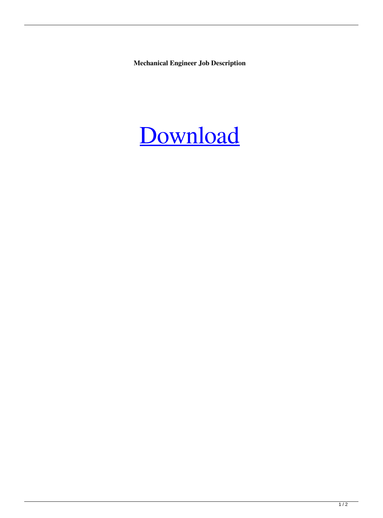**Mechanical Engineer Job Description**